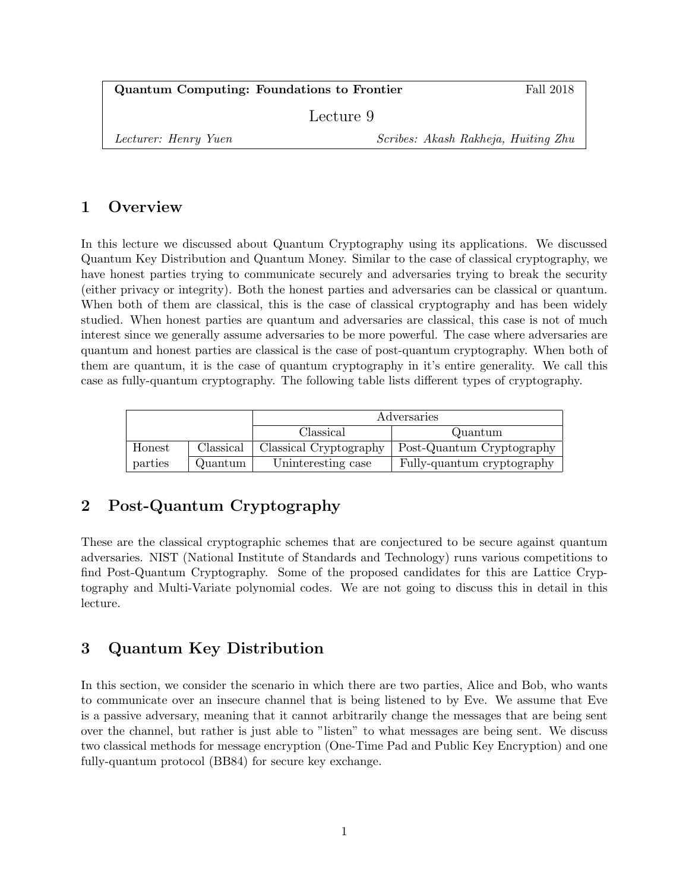Quantum Computing: Foundations to Frontier Fall 2018

Lecture 9

Lecturer: Henry Yuen Scribes: Akash Rakheja, Huiting Zhu

## 1 Overview

In this lecture we discussed about Quantum Cryptography using its applications. We discussed Quantum Key Distribution and Quantum Money. Similar to the case of classical cryptography, we have honest parties trying to communicate securely and adversaries trying to break the security (either privacy or integrity). Both the honest parties and adversaries can be classical or quantum. When both of them are classical, this is the case of classical cryptography and has been widely studied. When honest parties are quantum and adversaries are classical, this case is not of much interest since we generally assume adversaries to be more powerful. The case where adversaries are quantum and honest parties are classical is the case of post-quantum cryptography. When both of them are quantum, it is the case of quantum cryptography in it's entire generality. We call this case as fully-quantum cryptography. The following table lists different types of cryptography.

|         |           | Adversaries            |                            |
|---------|-----------|------------------------|----------------------------|
|         |           | Classical              | Quantum                    |
| Honest  | Classical | Classical Cryptography | Post-Quantum Cryptography  |
| parties | Quantum   | Uninteresting case     | Fully-quantum cryptography |

# 2 Post-Quantum Cryptography

These are the classical cryptographic schemes that are conjectured to be secure against quantum adversaries. NIST (National Institute of Standards and Technology) runs various competitions to find Post-Quantum Cryptography. Some of the proposed candidates for this are Lattice Cryptography and Multi-Variate polynomial codes. We are not going to discuss this in detail in this lecture.

# 3 Quantum Key Distribution

In this section, we consider the scenario in which there are two parties, Alice and Bob, who wants to communicate over an insecure channel that is being listened to by Eve. We assume that Eve is a passive adversary, meaning that it cannot arbitrarily change the messages that are being sent over the channel, but rather is just able to "listen" to what messages are being sent. We discuss two classical methods for message encryption (One-Time Pad and Public Key Encryption) and one fully-quantum protocol (BB84) for secure key exchange.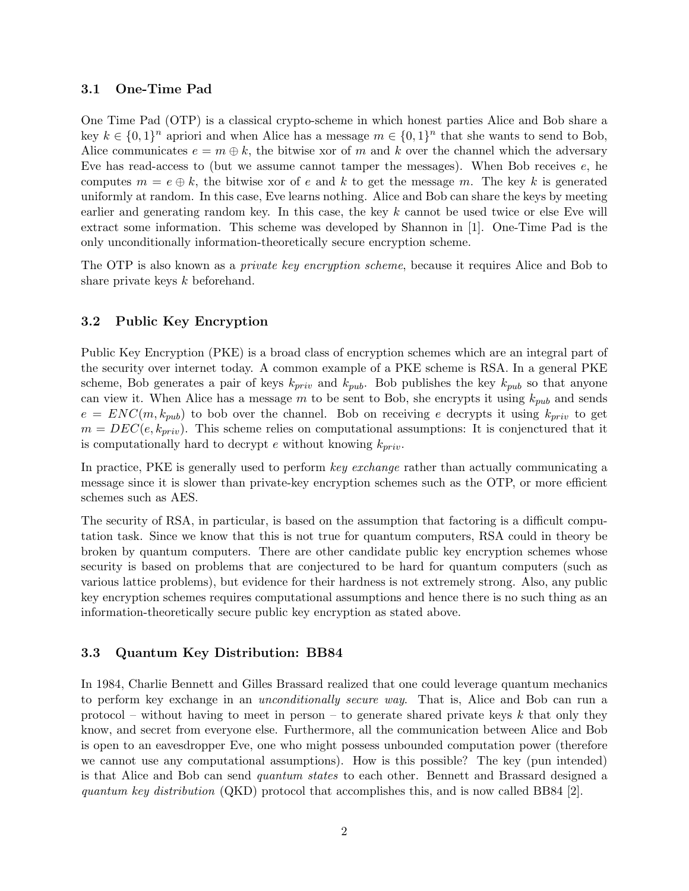#### 3.1 One-Time Pad

One Time Pad (OTP) is a classical crypto-scheme in which honest parties Alice and Bob share a key  $k \in \{0,1\}^n$  apriori and when Alice has a message  $m \in \{0,1\}^n$  that she wants to send to Bob, Alice communicates  $e = m \oplus k$ , the bitwise xor of m and k over the channel which the adversary Eve has read-access to (but we assume cannot tamper the messages). When Bob receives e, he computes  $m = e \oplus k$ , the bitwise xor of e and k to get the message m. The key k is generated uniformly at random. In this case, Eve learns nothing. Alice and Bob can share the keys by meeting earlier and generating random key. In this case, the key k cannot be used twice or else Eve will extract some information. This scheme was developed by Shannon in [1]. One-Time Pad is the only unconditionally information-theoretically secure encryption scheme.

The OTP is also known as a *private key encryption scheme*, because it requires Alice and Bob to share private keys k beforehand.

#### 3.2 Public Key Encryption

Public Key Encryption (PKE) is a broad class of encryption schemes which are an integral part of the security over internet today. A common example of a PKE scheme is RSA. In a general PKE scheme, Bob generates a pair of keys  $k_{priv}$  and  $k_{pub}$ . Bob publishes the key  $k_{pub}$  so that anyone can view it. When Alice has a message m to be sent to Bob, she encrypts it using  $k_{pub}$  and sends  $e = ENC(m, k_{pub})$  to bob over the channel. Bob on receiving e decrypts it using  $k_{priv}$  to get  $m = DEC(e, k_{priv})$ . This scheme relies on computational assumptions: It is conjenctured that it is computationally hard to decrypt e without knowing  $k_{priv}$ .

In practice, PKE is generally used to perform key exchange rather than actually communicating a message since it is slower than private-key encryption schemes such as the OTP, or more efficient schemes such as AES.

The security of RSA, in particular, is based on the assumption that factoring is a difficult computation task. Since we know that this is not true for quantum computers, RSA could in theory be broken by quantum computers. There are other candidate public key encryption schemes whose security is based on problems that are conjectured to be hard for quantum computers (such as various lattice problems), but evidence for their hardness is not extremely strong. Also, any public key encryption schemes requires computational assumptions and hence there is no such thing as an information-theoretically secure public key encryption as stated above.

#### 3.3 Quantum Key Distribution: BB84

In 1984, Charlie Bennett and Gilles Brassard realized that one could leverage quantum mechanics to perform key exchange in an unconditionally secure way. That is, Alice and Bob can run a protocol – without having to meet in person – to generate shared private keys k that only they know, and secret from everyone else. Furthermore, all the communication between Alice and Bob is open to an eavesdropper Eve, one who might possess unbounded computation power (therefore we cannot use any computational assumptions). How is this possible? The key (pun intended) is that Alice and Bob can send quantum states to each other. Bennett and Brassard designed a quantum key distribution (QKD) protocol that accomplishes this, and is now called BB84 [2].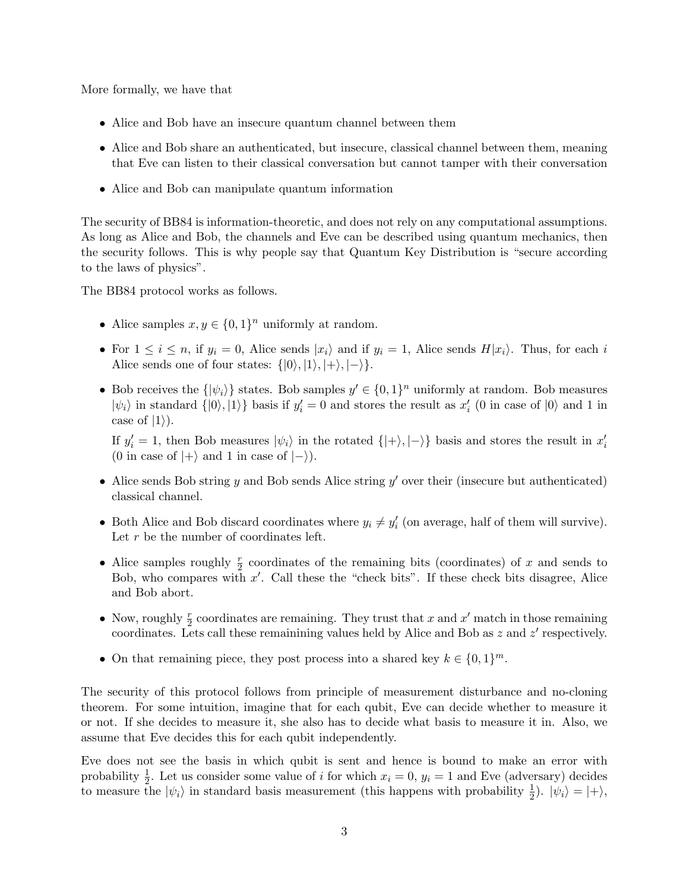More formally, we have that

- Alice and Bob have an insecure quantum channel between them
- Alice and Bob share an authenticated, but insecure, classical channel between them, meaning that Eve can listen to their classical conversation but cannot tamper with their conversation
- Alice and Bob can manipulate quantum information

The security of BB84 is information-theoretic, and does not rely on any computational assumptions. As long as Alice and Bob, the channels and Eve can be described using quantum mechanics, then the security follows. This is why people say that Quantum Key Distribution is "secure according to the laws of physics".

The BB84 protocol works as follows.

- Alice samples  $x, y \in \{0, 1\}^n$  uniformly at random.
- For  $1 \leq i \leq n$ , if  $y_i = 0$ , Alice sends  $|x_i\rangle$  and if  $y_i = 1$ , Alice sends  $H|x_i\rangle$ . Thus, for each i Alice sends one of four states:  $\{|0\rangle, |1\rangle, |+\rangle, |-\rangle\}.$
- Bob receives the  $\{\ket{\psi_i}\}$  states. Bob samples  $y' \in \{0,1\}^n$  uniformly at random. Bob measures  $|\psi_i\rangle$  in standard  $\{|0\rangle, |1\rangle\}$  basis if  $y'_i = 0$  and stores the result as  $x'_i$  (0 in case of  $|0\rangle$  and 1 in case of  $|1\rangle$ ).

If  $y_i' = 1$ , then Bob measures  $|\psi_i\rangle$  in the rotated  $\{|+\rangle, |-\rangle\}$  basis and stores the result in  $x_i'$ (0 in case of  $|+\rangle$  and 1 in case of  $|-\rangle$ ).

- Alice sends Bob string  $y$  and Bob sends Alice string  $y'$  over their (insecure but authenticated) classical channel.
- Both Alice and Bob discard coordinates where  $y_i \neq y'_i$  (on average, half of them will survive). Let r be the number of coordinates left.
- Alice samples roughly  $\frac{r}{2}$  coordinates of the remaining bits (coordinates) of x and sends to Bob, who compares with  $x'$ . Call these the "check bits". If these check bits disagree, Alice and Bob abort.
- Now, roughly  $\frac{r}{2}$  coordinates are remaining. They trust that x and x' match in those remaining coordinates. Lets call these remainining values held by Alice and Bob as  $z$  and  $z'$  respectively.
- On that remaining piece, they post process into a shared key  $k \in \{0,1\}^m$ .

The security of this protocol follows from principle of measurement disturbance and no-cloning theorem. For some intuition, imagine that for each qubit, Eve can decide whether to measure it or not. If she decides to measure it, she also has to decide what basis to measure it in. Also, we assume that Eve decides this for each qubit independently.

Eve does not see the basis in which qubit is sent and hence is bound to make an error with probability  $\frac{1}{2}$ . Let us consider some value of i for which  $x_i = 0$ ,  $y_i = 1$  and Eve (adversary) decides to measure the  $|\psi_i\rangle$  in standard basis measurement (this happens with probability  $\frac{1}{2}$ ).  $|\psi_i\rangle = |+\rangle$ ,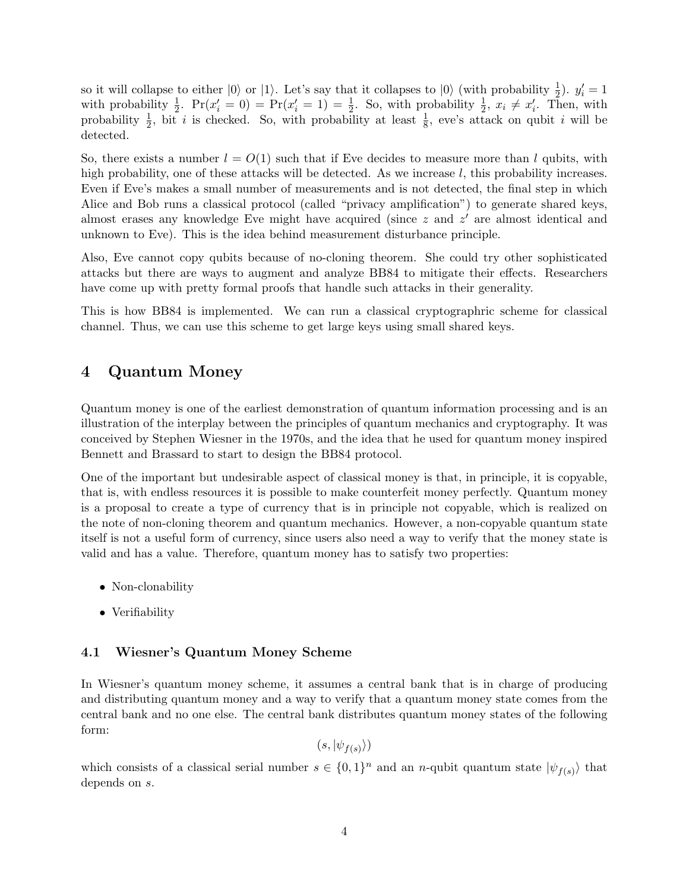so it will collapse to either  $|0\rangle$  or  $|1\rangle$ . Let's say that it collapses to  $|0\rangle$  (with probability  $\frac{1}{2}$ ).  $y'_i = 1$ with probability  $\frac{1}{2}$ .  $Pr(x'_i = 0) = Pr(x'_i = 1) = \frac{1}{2}$ . So, with probability  $\frac{1}{2}$ ,  $x_i \neq x'_i$ . Then, with probability  $\frac{1}{2}$ , bit i is checked. So, with probability at least  $\frac{1}{8}$ , eve's attack on qubit i will be detected.

So, there exists a number  $l = O(1)$  such that if Eve decides to measure more than l qubits, with high probability, one of these attacks will be detected. As we increase  $l$ , this probability increases. Even if Eve's makes a small number of measurements and is not detected, the final step in which Alice and Bob runs a classical protocol (called "privacy amplification") to generate shared keys, almost erases any knowledge Eve might have acquired (since  $z$  and  $z'$  are almost identical and unknown to Eve). This is the idea behind measurement disturbance principle.

Also, Eve cannot copy qubits because of no-cloning theorem. She could try other sophisticated attacks but there are ways to augment and analyze BB84 to mitigate their effects. Researchers have come up with pretty formal proofs that handle such attacks in their generality.

This is how BB84 is implemented. We can run a classical cryptographric scheme for classical channel. Thus, we can use this scheme to get large keys using small shared keys.

## 4 Quantum Money

Quantum money is one of the earliest demonstration of quantum information processing and is an illustration of the interplay between the principles of quantum mechanics and cryptography. It was conceived by Stephen Wiesner in the 1970s, and the idea that he used for quantum money inspired Bennett and Brassard to start to design the BB84 protocol.

One of the important but undesirable aspect of classical money is that, in principle, it is copyable, that is, with endless resources it is possible to make counterfeit money perfectly. Quantum money is a proposal to create a type of currency that is in principle not copyable, which is realized on the note of non-cloning theorem and quantum mechanics. However, a non-copyable quantum state itself is not a useful form of currency, since users also need a way to verify that the money state is valid and has a value. Therefore, quantum money has to satisfy two properties:

- Non-clonability
- Verifiability

### 4.1 Wiesner's Quantum Money Scheme

In Wiesner's quantum money scheme, it assumes a central bank that is in charge of producing and distributing quantum money and a way to verify that a quantum money state comes from the central bank and no one else. The central bank distributes quantum money states of the following form:

 $(s,|\psi_{f(s)}\rangle)$ 

which consists of a classical serial number  $s \in \{0,1\}^n$  and an n-qubit quantum state  $|\psi_{f(s)}\rangle$  that depends on s.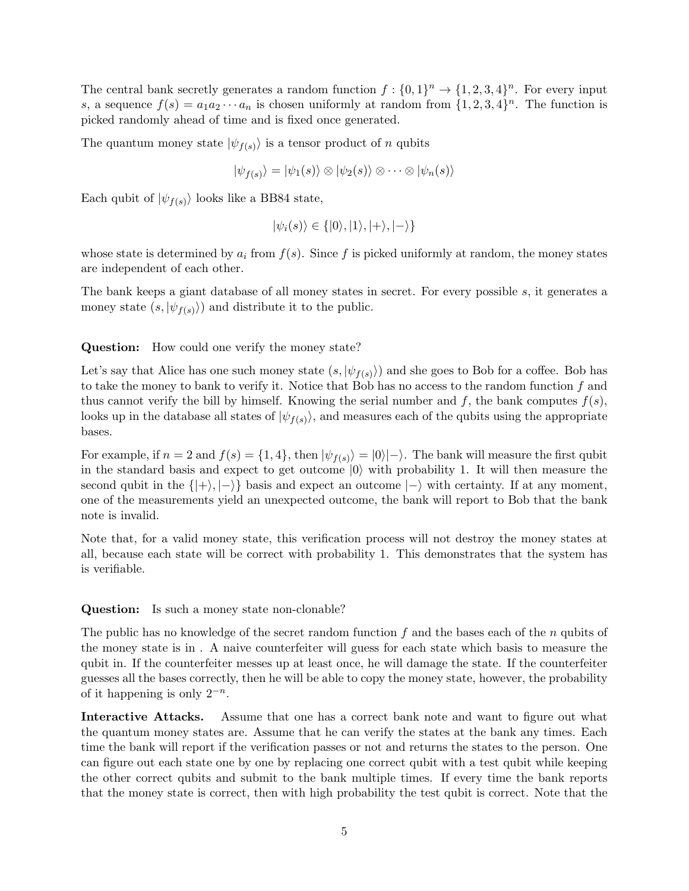The central bank secretly generates a random function  $f: \{0,1\}^n \to \{1,2,3,4\}^n$ . For every input s, a sequence  $f(s) = a_1 a_2 \cdots a_n$  is chosen uniformly at random from  $\{1, 2, 3, 4\}^n$ . The function is picked randomly ahead of time and is fixed once generated.

The quantum money state  $|\psi_{f(s)}\rangle$  is a tensor product of n qubits

$$
|\psi_{f(s)}\rangle = |\psi_1(s)\rangle \otimes |\psi_2(s)\rangle \otimes \cdots \otimes |\psi_n(s)\rangle
$$

Each qubit of  $|\psi_{f(s)}\rangle$  looks like a BB84 state,

$$
|\psi_i(s)\rangle \in \{|0\rangle, |1\rangle, |+\rangle, |-\rangle\}
$$

whose state is determined by  $a_i$  from  $f(s)$ . Since f is picked uniformly at random, the money states are independent of each other.

The bank keeps a giant database of all money states in secret. For every possible s, it generates a money state  $(s, \ket{\psi_{f(s)}})$  and distribute it to the public.

Question: How could one verify the money state?

Let's say that Alice has one such money state  $(s, \ket{\psi_{f(s)}})$  and she goes to Bob for a coffee. Bob has to take the money to bank to verify it. Notice that Bob has no access to the random function f and thus cannot verify the bill by himself. Knowing the serial number and  $f$ , the bank computes  $f(s)$ , looks up in the database all states of  $|\psi_{f(s)}\rangle$ , and measures each of the qubits using the appropriate bases.

For example, if  $n = 2$  and  $f(s) = \{1, 4\}$ , then  $|\psi_{f(s)}\rangle = |0\rangle|-\rangle$ . The bank will measure the first qubit in the standard basis and expect to get outcome  $|0\rangle$  with probability 1. It will then measure the second qubit in the  $\{|\rangle, |\rangle\}$  basis and expect an outcome  $|\rangle$  with certainty. If at any moment, one of the measurements yield an unexpected outcome, the bank will report to Bob that the bank note is invalid.

Note that, for a valid money state, this verification process will not destroy the money states at all, because each state will be correct with probability 1. This demonstrates that the system has is verifiable.

Question: Is such a money state non-clonable?

The public has no knowledge of the secret random function  $f$  and the bases each of the  $n$  qubits of the money state is in . A naive counterfeiter will guess for each state which basis to measure the qubit in. If the counterfeiter messes up at least once, he will damage the state. If the counterfeiter guesses all the bases correctly, then he will be able to copy the money state, however, the probability of it happening is only  $2^{-n}$ .

Interactive Attacks. Assume that one has a correct bank note and want to figure out what the quantum money states are. Assume that he can verify the states at the bank any times. Each time the bank will report if the verification passes or not and returns the states to the person. One can figure out each state one by one by replacing one correct qubit with a test qubit while keeping the other correct qubits and submit to the bank multiple times. If every time the bank reports that the money state is correct, then with high probability the test qubit is correct. Note that the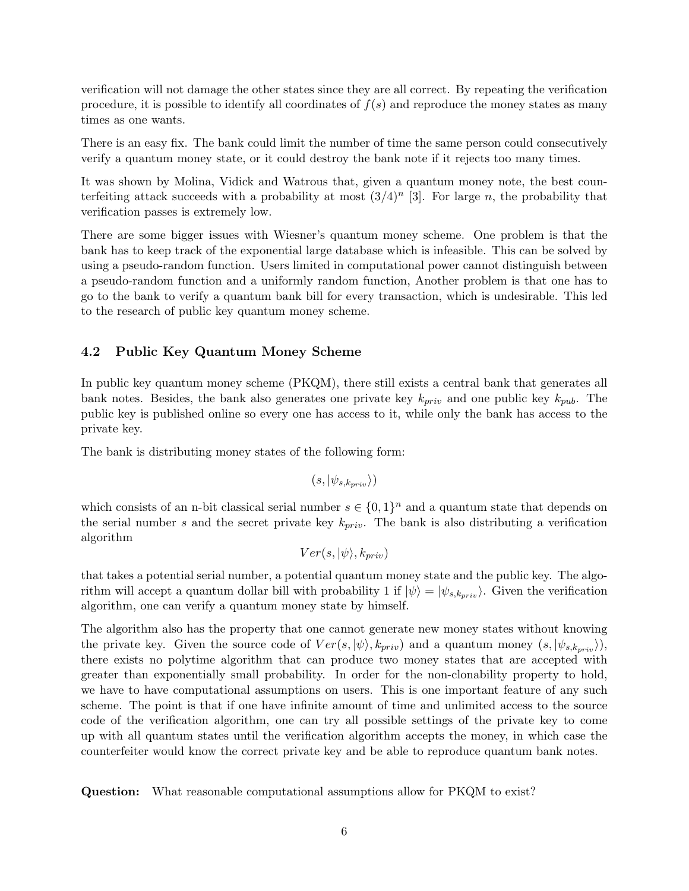verification will not damage the other states since they are all correct. By repeating the verification procedure, it is possible to identify all coordinates of  $f(s)$  and reproduce the money states as many times as one wants.

There is an easy fix. The bank could limit the number of time the same person could consecutively verify a quantum money state, or it could destroy the bank note if it rejects too many times.

It was shown by Molina, Vidick and Watrous that, given a quantum money note, the best counterfeiting attack succeeds with a probability at most  $(3/4)^n$  [3]. For large n, the probability that verification passes is extremely low.

There are some bigger issues with Wiesner's quantum money scheme. One problem is that the bank has to keep track of the exponential large database which is infeasible. This can be solved by using a pseudo-random function. Users limited in computational power cannot distinguish between a pseudo-random function and a uniformly random function, Another problem is that one has to go to the bank to verify a quantum bank bill for every transaction, which is undesirable. This led to the research of public key quantum money scheme.

### 4.2 Public Key Quantum Money Scheme

In public key quantum money scheme (PKQM), there still exists a central bank that generates all bank notes. Besides, the bank also generates one private key  $k_{priv}$  and one public key  $k_{pub}$ . The public key is published online so every one has access to it, while only the bank has access to the private key.

The bank is distributing money states of the following form:

$$
(s,|\psi_{s,k_{priv}}\rangle)
$$

which consists of an n-bit classical serial number  $s \in \{0,1\}^n$  and a quantum state that depends on the serial number s and the secret private key  $k_{priv}$ . The bank is also distributing a verification algorithm

$$
Ver(s,|\psi\rangle,k_{priv})
$$

that takes a potential serial number, a potential quantum money state and the public key. The algorithm will accept a quantum dollar bill with probability 1 if  $|\psi\rangle = |\psi_{s,k_{prip}}\rangle$ . Given the verification algorithm, one can verify a quantum money state by himself.

The algorithm also has the property that one cannot generate new money states without knowing the private key. Given the source code of  $Ver(s, |\psi\rangle, k_{priv})$  and a quantum money  $(s, |\psi_{s,k_{priv}}\rangle)$ , there exists no polytime algorithm that can produce two money states that are accepted with greater than exponentially small probability. In order for the non-clonability property to hold, we have to have computational assumptions on users. This is one important feature of any such scheme. The point is that if one have infinite amount of time and unlimited access to the source code of the verification algorithm, one can try all possible settings of the private key to come up with all quantum states until the verification algorithm accepts the money, in which case the counterfeiter would know the correct private key and be able to reproduce quantum bank notes.

Question: What reasonable computational assumptions allow for PKQM to exist?